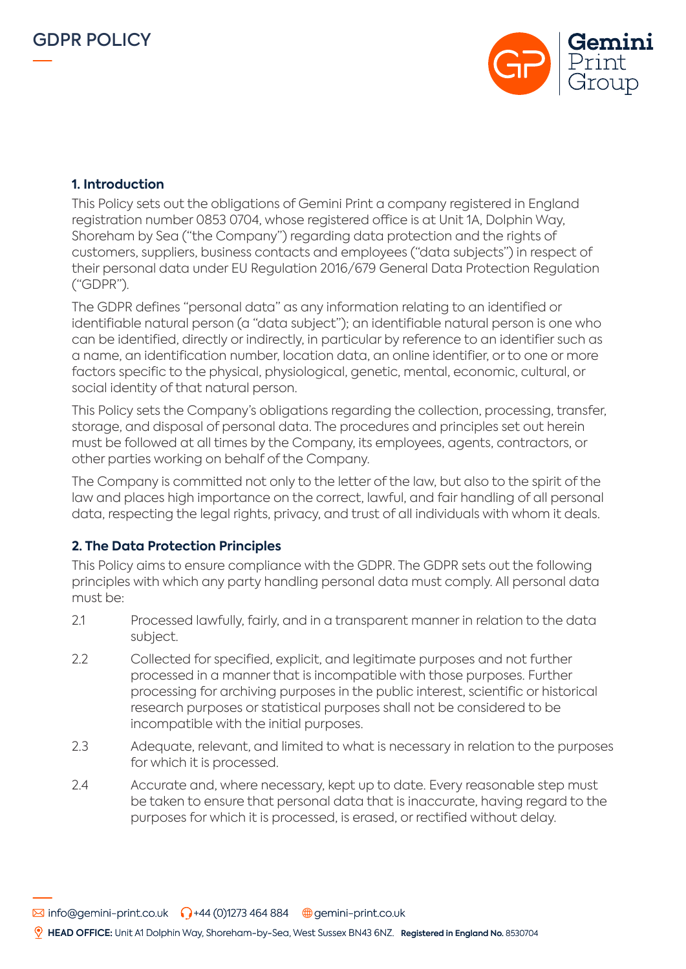



## **1. Introduction**

This Policy sets out the obligations of Gemini Print a company registered in England registration number 0853 0704, whose registered office is at Unit 1A, Dolphin Way, Shoreham by Sea ("the Company") regarding data protection and the rights of customers, suppliers, business contacts and employees ("data subjects") in respect of their personal data under EU Regulation 2016/679 General Data Protection Regulation ("GDPR").

The GDPR defines "personal data" as any information relating to an identified or identifiable natural person (a "data subject"); an identifiable natural person is one who can be identified, directly or indirectly, in particular by reference to an identifier such as a name, an identification number, location data, an online identifier, or to one or more factors specific to the physical, physiological, genetic, mental, economic, cultural, or social identity of that natural person.

This Policy sets the Company's obligations regarding the collection, processing, transfer, storage, and disposal of personal data. The procedures and principles set out herein must be followed at all times by the Company, its employees, agents, contractors, or other parties working on behalf of the Company.

The Company is committed not only to the letter of the law, but also to the spirit of the law and places high importance on the correct, lawful, and fair handling of all personal data, respecting the legal rights, privacy, and trust of all individuals with whom it deals.

## **2. The Data Protection Principles**

This Policy aims to ensure compliance with the GDPR. The GDPR sets out the following principles with which any party handling personal data must comply. All personal data must be:

- 2.1 Processed lawfully, fairly, and in a transparent manner in relation to the data subject.
- 2.2 Collected for specified, explicit, and legitimate purposes and not further processed in a manner that is incompatible with those purposes. Further processing for archiving purposes in the public interest, scientific or historical research purposes or statistical purposes shall not be considered to be incompatible with the initial purposes.
- 2.3 Adequate, relevant, and limited to what is necessary in relation to the purposes for which it is processed.
- 2.4 Accurate and, where necessary, kept up to date. Every reasonable step must be taken to ensure that personal data that is inaccurate, having regard to the purposes for which it is processed, is erased, or rectified without delay.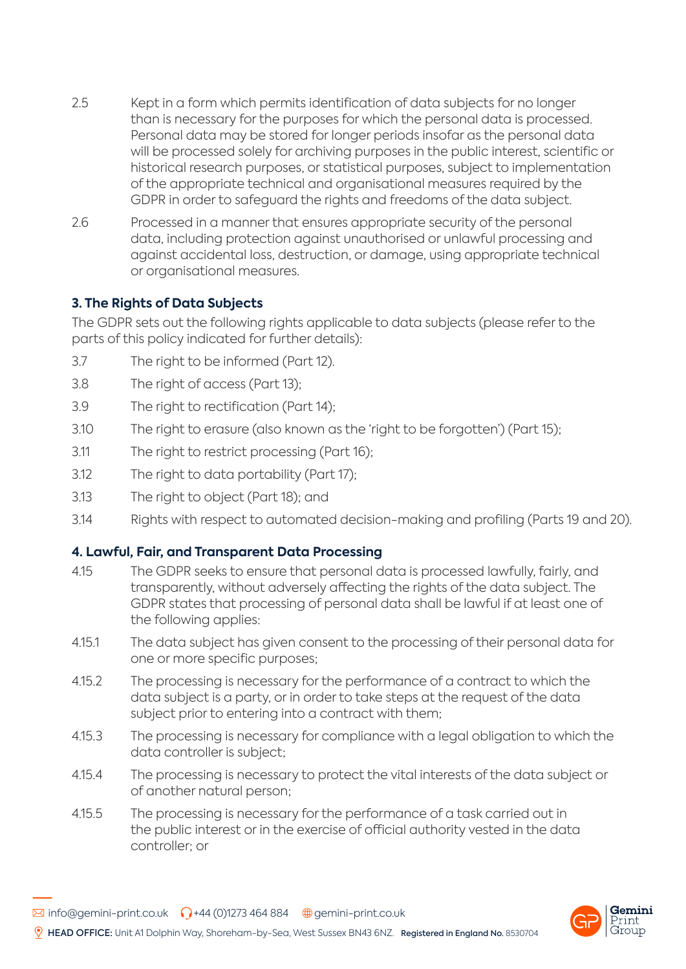- 2.5 Kept in a form which permits identification of data subjects for no longer than is necessary for the purposes for which the personal data is processed. Personal data may be stored for longer periods insofar as the personal data will be processed solely for archiving purposes in the public interest, scientific or historical research purposes, or statistical purposes, subject to implementation of the appropriate technical and organisational measures required by the GDPR in order to safeguard the rights and freedoms of the data subject.
- 2.6 Processed in a manner that ensures appropriate security of the personal data, including protection against unauthorised or unlawful processing and against accidental loss, destruction, or damage, using appropriate technical or organisational measures.

## **3. The Rights of Data Subjects**

The GDPR sets out the following rights applicable to data subjects (please refer to the parts of this policy indicated for further details):

- 3.7 The right to be informed (Part 12).
- 3.8 The right of access (Part 13);
- 3.9 The right to rectification (Part 14);
- 3.10 The right to erasure (also known as the 'right to be forgotten') (Part 15);
- 3.11 The right to restrict processing (Part 16);
- 3.12 The right to data portability (Part 17);
- 3.13 The right to object (Part 18); and
- 3.14 Rights with respect to automated decision-making and profiling (Parts 19 and 20).

## **4. Lawful, Fair, and Transparent Data Processing**

- 4.15 The GDPR seeks to ensure that personal data is processed lawfully, fairly, and transparently, without adversely affecting the rights of the data subject. The GDPR states that processing of personal data shall be lawful if at least one of the following applies:
- 4.15.1 The data subject has given consent to the processing of their personal data for one or more specific purposes;
- 4.15.2 The processing is necessary for the performance of a contract to which the data subject is a party, or in order to take steps at the request of the data subject prior to entering into a contract with them;
- 4.15.3 The processing is necessary for compliance with a legal obligation to which the data controller is subject;
- 4.15.4 The processing is necessary to protect the vital interests of the data subject or of another natural person;
- 4.15.5 The processing is necessary for the performance of a task carried out in the public interest or in the exercise of official authority vested in the data controller; or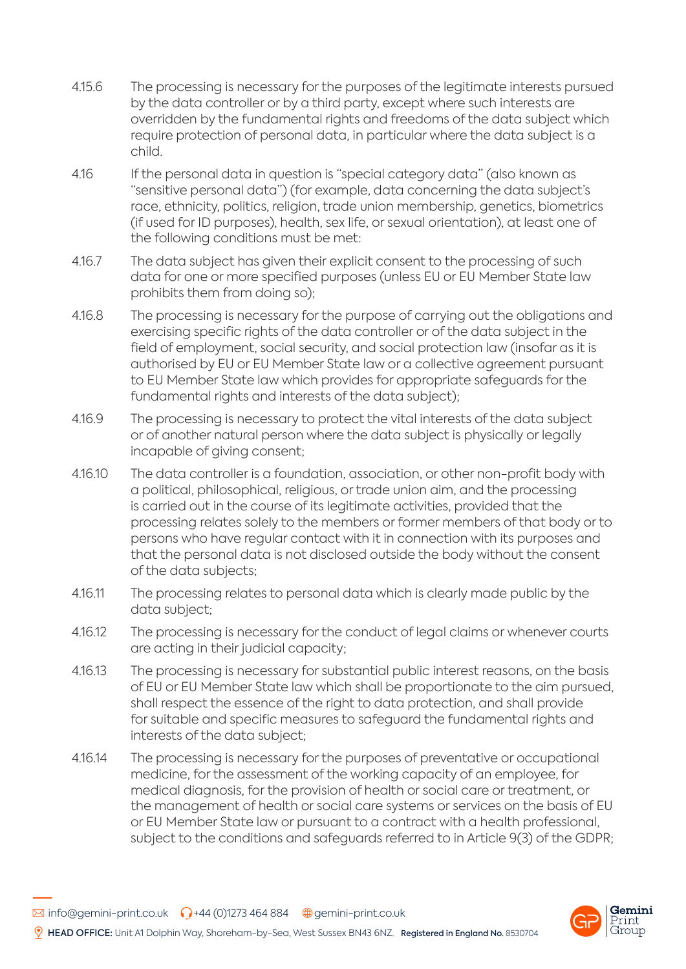- 4.15.6 The processing is necessary for the purposes of the legitimate interests pursued by the data controller or by a third party, except where such interests are overridden by the fundamental rights and freedoms of the data subject which require protection of personal data, in particular where the data subject is a child.
- 4.16 If the personal data in question is "special category data" (also known as "sensitive personal data") (for example, data concerning the data subject's race, ethnicity, politics, religion, trade union membership, genetics, biometrics (if used for ID purposes), health, sex life, or sexual orientation), at least one of the following conditions must be met:
- 4.16.7 The data subject has given their explicit consent to the processing of such data for one or more specified purposes (unless EU or EU Member State law prohibits them from doing so);
- 4.16.8 The processing is necessary for the purpose of carrying out the obligations and exercising specific rights of the data controller or of the data subject in the field of employment, social security, and social protection law (insofar as it is authorised by EU or EU Member State law or a collective agreement pursuant to EU Member State law which provides for appropriate safeguards for the fundamental rights and interests of the data subject);
- 4.16.9 The processing is necessary to protect the vital interests of the data subject or of another natural person where the data subject is physically or legally incapable of giving consent;
- 4.16.10 The data controller is a foundation, association, or other non-profit body with a political, philosophical, religious, or trade union aim, and the processing is carried out in the course of its legitimate activities, provided that the processing relates solely to the members or former members of that body or to persons who have regular contact with it in connection with its purposes and that the personal data is not disclosed outside the body without the consent of the data subjects;
- 4.16.11 The processing relates to personal data which is clearly made public by the data subject;
- 4.16.12 The processing is necessary for the conduct of legal claims or whenever courts are acting in their judicial capacity;
- 4.16.13 The processing is necessary for substantial public interest reasons, on the basis of EU or EU Member State law which shall be proportionate to the aim pursued, shall respect the essence of the right to data protection, and shall provide for suitable and specific measures to safeguard the fundamental rights and interests of the data subject;
- 4.16.14 The processing is necessary for the purposes of preventative or occupational medicine, for the assessment of the working capacity of an employee, for medical diagnosis, for the provision of health or social care or treatment, or the management of health or social care systems or services on the basis of EU or EU Member State law or pursuant to a contract with a health professional, subject to the conditions and safeguards referred to in Article 9(3) of the GDPR;

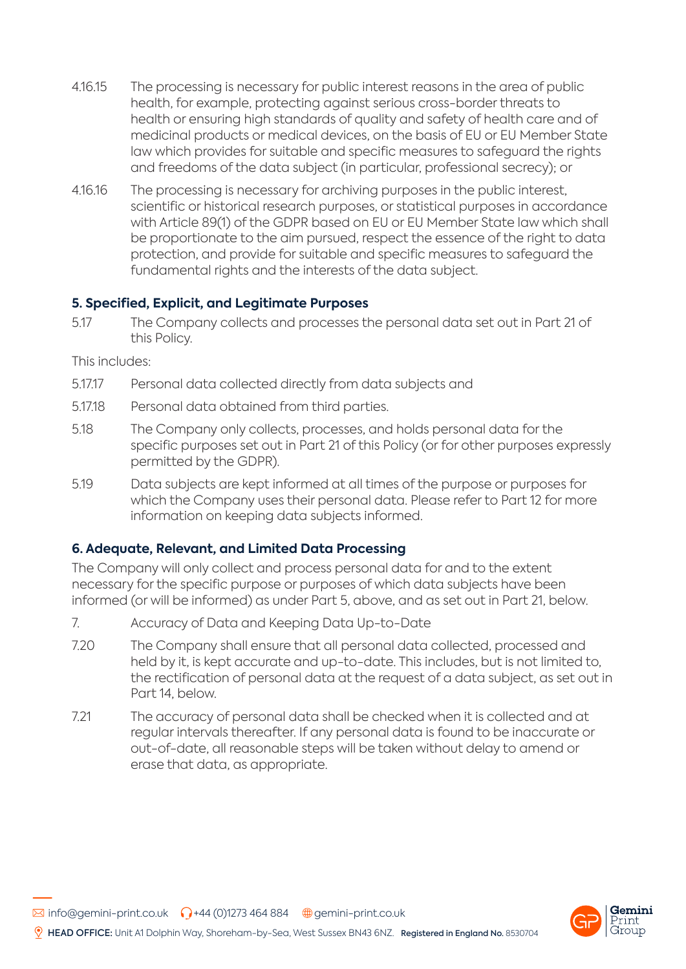- 4.16.15 The processing is necessary for public interest reasons in the area of public health, for example, protecting against serious cross-border threats to health or ensuring high standards of quality and safety of health care and of medicinal products or medical devices, on the basis of EU or EU Member State law which provides for suitable and specific measures to safeguard the rights and freedoms of the data subject (in particular, professional secrecy); or
- 4.16.16 The processing is necessary for archiving purposes in the public interest, scientific or historical research purposes, or statistical purposes in accordance with Article 89(1) of the GDPR based on EU or EU Member State law which shall be proportionate to the aim pursued, respect the essence of the right to data protection, and provide for suitable and specific measures to safeguard the fundamental rights and the interests of the data subject.

## **5. Specified, Explicit, and Legitimate Purposes**

5.17 The Company collects and processes the personal data set out in Part 21 of this Policy.

This includes:

- 5.17.17 Personal data collected directly from data subjects and
- 5.17.18 Personal data obtained from third parties.
- 5.18 The Company only collects, processes, and holds personal data for the specific purposes set out in Part 21 of this Policy (or for other purposes expressly permitted by the GDPR).
- 5.19 Data subjects are kept informed at all times of the purpose or purposes for which the Company uses their personal data. Please refer to Part 12 for more information on keeping data subjects informed.

### **6. Adequate, Relevant, and Limited Data Processing**

The Company will only collect and process personal data for and to the extent necessary for the specific purpose or purposes of which data subjects have been informed (or will be informed) as under Part 5, above, and as set out in Part 21, below.

- 7. Accuracy of Data and Keeping Data Up-to-Date
- 7.20 The Company shall ensure that all personal data collected, processed and held by it, is kept accurate and up-to-date. This includes, but is not limited to, the rectification of personal data at the request of a data subject, as set out in Part 14, below.
- 7.21 The accuracy of personal data shall be checked when it is collected and at regular intervals thereafter. If any personal data is found to be inaccurate or out-of-date, all reasonable steps will be taken without delay to amend or erase that data, as appropriate.

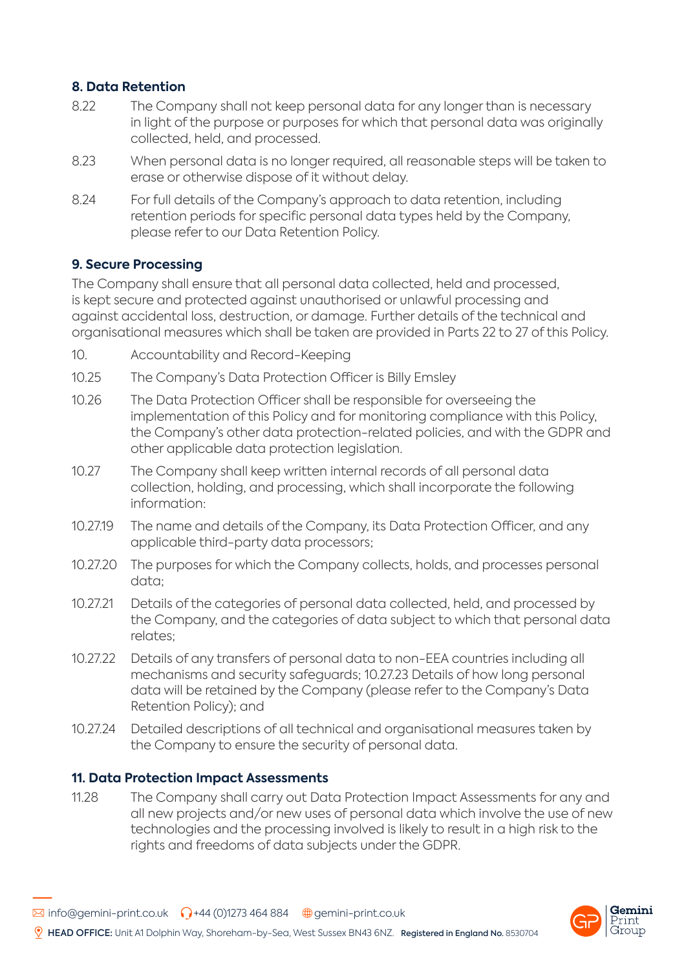# **8. Data Retention**

- 8.22 The Company shall not keep personal data for any longer than is necessary in light of the purpose or purposes for which that personal data was originally collected, held, and processed.
- 8.23 When personal data is no longer required, all reasonable steps will be taken to erase or otherwise dispose of it without delay.
- 8.24 For full details of the Company's approach to data retention, including retention periods for specific personal data types held by the Company, please refer to our Data Retention Policy.

## **9. Secure Processing**

The Company shall ensure that all personal data collected, held and processed, is kept secure and protected against unauthorised or unlawful processing and against accidental loss, destruction, or damage. Further details of the technical and organisational measures which shall be taken are provided in Parts 22 to 27 of this Policy.

- 10. Accountability and Record-Keeping
- 10.25 The Company's Data Protection Officer is Billy Emsley
- 10.26 The Data Protection Officer shall be responsible for overseeing the implementation of this Policy and for monitoring compliance with this Policy, the Company's other data protection-related policies, and with the GDPR and other applicable data protection legislation.
- 10.27 The Company shall keep written internal records of all personal data collection, holding, and processing, which shall incorporate the following information:
- 10.27.19 The name and details of the Company, its Data Protection Officer, and any applicable third-party data processors;
- 10.27.20 The purposes for which the Company collects, holds, and processes personal data;
- 10.27.21 Details of the categories of personal data collected, held, and processed by the Company, and the categories of data subject to which that personal data relates;
- 10.27.22 Details of any transfers of personal data to non-EEA countries including all mechanisms and security safeguards; 10.27.23 Details of how long personal data will be retained by the Company (please refer to the Company's Data Retention Policy); and
- 10.27.24 Detailed descriptions of all technical and organisational measures taken by the Company to ensure the security of personal data.

### **11. Data Protection Impact Assessments**

11.28 The Company shall carry out Data Protection Impact Assessments for any and all new projects and/or new uses of personal data which involve the use of new technologies and the processing involved is likely to result in a high risk to the rights and freedoms of data subjects under the GDPR.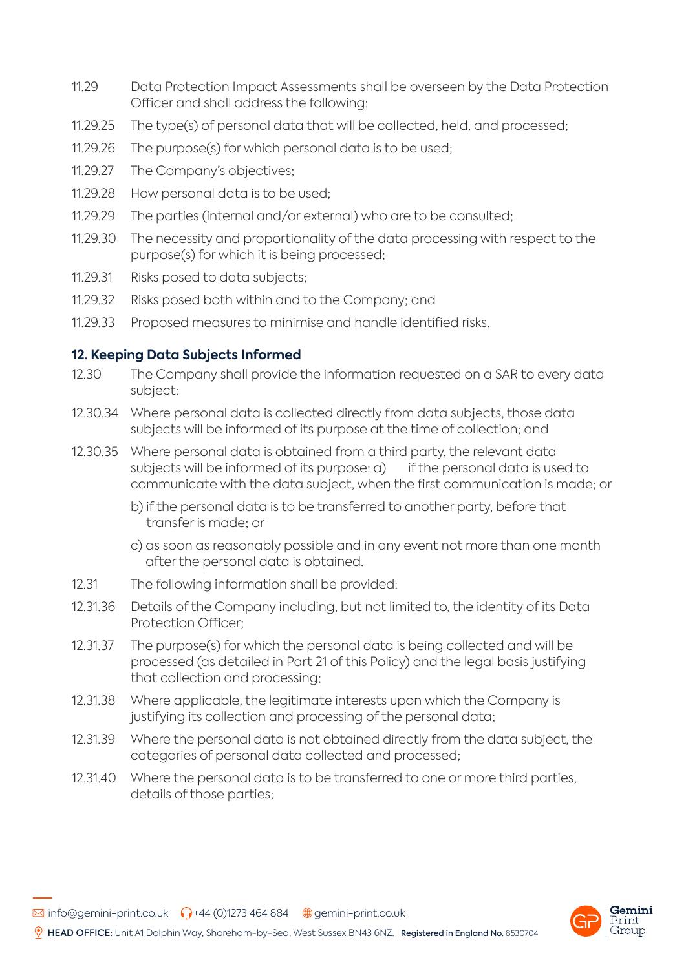- 11.29 Data Protection Impact Assessments shall be overseen by the Data Protection Officer and shall address the following:
- 11.29.25 The type(s) of personal data that will be collected, held, and processed;
- 11.29.26 The purpose(s) for which personal data is to be used;
- 11.29.27 The Company's objectives;
- 11.29.28 How personal data is to be used;
- 11.29.29 The parties (internal and/or external) who are to be consulted;
- 11.29.30 The necessity and proportionality of the data processing with respect to the purpose(s) for which it is being processed;
- 11.29.31 Risks posed to data subjects;
- 11.29.32 Risks posed both within and to the Company; and
- 11.29.33 Proposed measures to minimise and handle identified risks.

### **12. Keeping Data Subjects Informed**

- 12.30 The Company shall provide the information requested on a SAR to every data subject:
- 12.30.34 Where personal data is collected directly from data subjects, those data subjects will be informed of its purpose at the time of collection; and
- 12.30.35 Where personal data is obtained from a third party, the relevant data subjects will be informed of its purpose:  $a$ ) if the personal data is used to communicate with the data subject, when the first communication is made; or
	- b) if the personal data is to be transferred to another party, before that transfer is made; or
	- c) as soon as reasonably possible and in any event not more than one month after the personal data is obtained.
- 12.31 The following information shall be provided:
- 12.31.36 Details of the Company including, but not limited to, the identity of its Data Protection Officer;
- 12.31.37 The purpose(s) for which the personal data is being collected and will be processed (as detailed in Part 21 of this Policy) and the legal basis justifying that collection and processing;
- 12.31.38 Where applicable, the legitimate interests upon which the Company is justifying its collection and processing of the personal data;
- 12.31.39 Where the personal data is not obtained directly from the data subject, the categories of personal data collected and processed;
- 12.31.40 Where the personal data is to be transferred to one or more third parties, details of those parties;

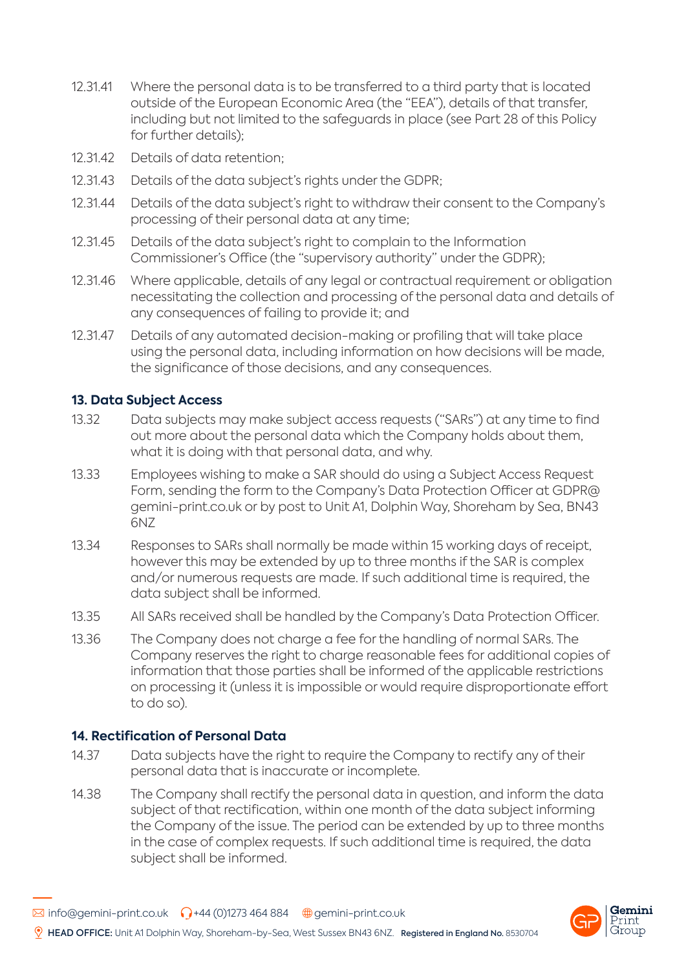- 12.31.41 Where the personal data is to be transferred to a third party that is located outside of the European Economic Area (the "EEA"), details of that transfer, including but not limited to the safeguards in place (see Part 28 of this Policy for further details);
- 12.31.42 Details of data retention;
- 12.31.43 Details of the data subject's rights under the GDPR;
- 12.31.44 Details of the data subject's right to withdraw their consent to the Company's processing of their personal data at any time;
- 12.31.45 Details of the data subject's right to complain to the Information Commissioner's Office (the "supervisory authority" under the GDPR);
- 12.31.46 Where applicable, details of any legal or contractual requirement or obligation necessitating the collection and processing of the personal data and details of any consequences of failing to provide it; and
- 12.31.47 Details of any automated decision-making or profiling that will take place using the personal data, including information on how decisions will be made, the significance of those decisions, and any consequences.

### **13. Data Subject Access**

- 13.32 Data subjects may make subject access requests ("SARs") at any time to find out more about the personal data which the Company holds about them, what it is doing with that personal data, and why.
- 13.33 Employees wishing to make a SAR should do using a Subject Access Request Form, sending the form to the Company's Data Protection Officer at GDPR@ gemini-print.co.uk or by post to Unit A1, Dolphin Way, Shoreham by Sea, BN43 6NZ
- 13.34 Responses to SARs shall normally be made within 15 working days of receipt, however this may be extended by up to three months if the SAR is complex and/or numerous requests are made. If such additional time is required, the data subject shall be informed.
- 13.35 All SARs received shall be handled by the Company's Data Protection Officer.
- 13.36 The Company does not charge a fee for the handling of normal SARs. The Company reserves the right to charge reasonable fees for additional copies of information that those parties shall be informed of the applicable restrictions on processing it (unless it is impossible or would require disproportionate effort to do so).

#### **14. Rectification of Personal Data**

- 14.37 Data subjects have the right to require the Company to rectify any of their personal data that is inaccurate or incomplete.
- 14.38 The Company shall rectify the personal data in question, and inform the data subject of that rectification, within one month of the data subject informing the Company of the issue. The period can be extended by up to three months in the case of complex requests. If such additional time is required, the data subject shall be informed.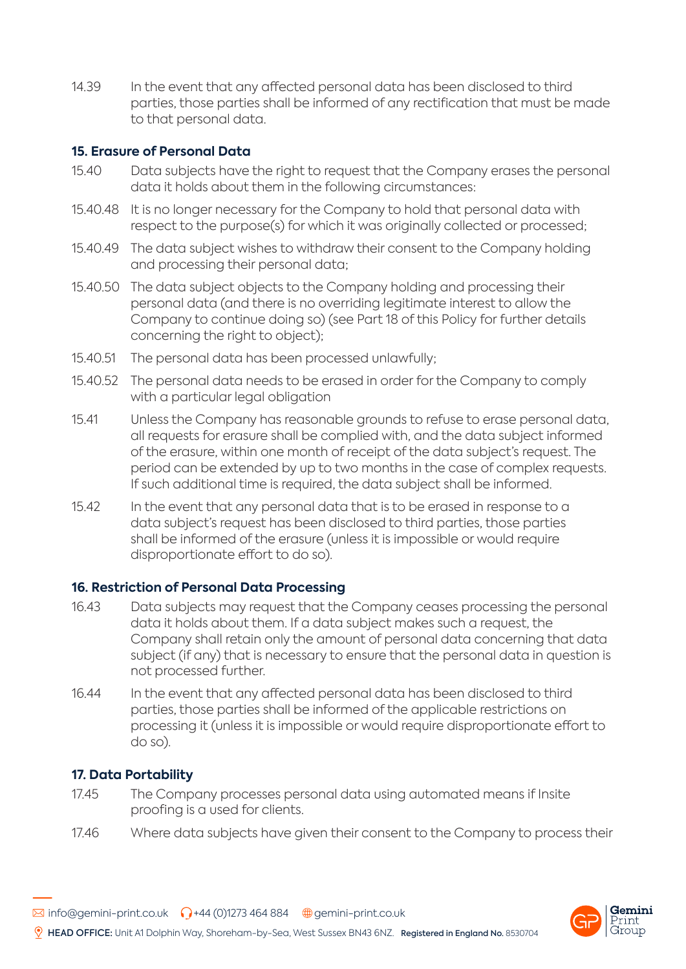14.39 In the event that any affected personal data has been disclosed to third parties, those parties shall be informed of any rectification that must be made to that personal data.

## **15. Erasure of Personal Data**

- 15.40 Data subjects have the right to request that the Company erases the personal data it holds about them in the following circumstances:
- 15.40.48 It is no longer necessary for the Company to hold that personal data with respect to the purpose(s) for which it was originally collected or processed;
- 15.40.49 The data subject wishes to withdraw their consent to the Company holding and processing their personal data;
- 15.40.50 The data subject objects to the Company holding and processing their personal data (and there is no overriding legitimate interest to allow the Company to continue doing so) (see Part 18 of this Policy for further details concerning the right to object);
- 15.40.51 The personal data has been processed unlawfully;
- 15.40.52 The personal data needs to be erased in order for the Company to comply with a particular legal obligation
- 15.41 Unless the Company has reasonable grounds to refuse to erase personal data, all requests for erasure shall be complied with, and the data subject informed of the erasure, within one month of receipt of the data subject's request. The period can be extended by up to two months in the case of complex requests. If such additional time is required, the data subject shall be informed.
- 15.42 In the event that any personal data that is to be erased in response to a data subject's request has been disclosed to third parties, those parties shall be informed of the erasure (unless it is impossible or would require disproportionate effort to do so).

### **16. Restriction of Personal Data Processing**

- 16.43 Data subjects may request that the Company ceases processing the personal data it holds about them. If a data subject makes such a request, the Company shall retain only the amount of personal data concerning that data subject (if any) that is necessary to ensure that the personal data in question is not processed further.
- 16.44 In the event that any affected personal data has been disclosed to third parties, those parties shall be informed of the applicable restrictions on processing it (unless it is impossible or would require disproportionate effort to do so).

## **17. Data Portability**

- 17.45 The Company processes personal data using automated means if Insite proofing is a used for clients.
- 17.46 Where data subjects have given their consent to the Company to process their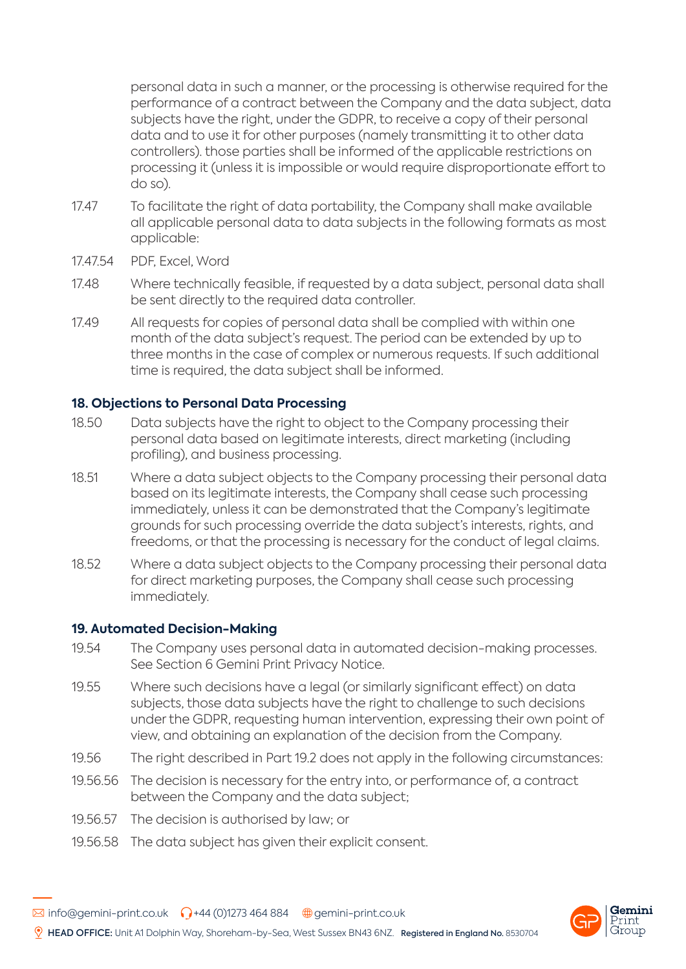personal data in such a manner, or the processing is otherwise required for the performance of a contract between the Company and the data subject, data subjects have the right, under the GDPR, to receive a copy of their personal data and to use it for other purposes (namely transmitting it to other data controllers). those parties shall be informed of the applicable restrictions on processing it (unless it is impossible or would require disproportionate effort to do so).

- 17.47 To facilitate the right of data portability, the Company shall make available all applicable personal data to data subjects in the following formats as most applicable:
- 17.47.54 PDF, Excel, Word
- 17.48 Where technically feasible, if requested by a data subject, personal data shall be sent directly to the required data controller.
- 17.49 All requests for copies of personal data shall be complied with within one month of the data subject's request. The period can be extended by up to three months in the case of complex or numerous requests. If such additional time is required, the data subject shall be informed.

## **18. Objections to Personal Data Processing**

- 18.50 Data subjects have the right to object to the Company processing their personal data based on legitimate interests, direct marketing (including profiling), and business processing.
- 18.51 Where a data subject objects to the Company processing their personal data based on its legitimate interests, the Company shall cease such processing immediately, unless it can be demonstrated that the Company's legitimate grounds for such processing override the data subject's interests, rights, and freedoms, or that the processing is necessary for the conduct of legal claims.
- 18.52 Where a data subject objects to the Company processing their personal data for direct marketing purposes, the Company shall cease such processing immediately.

### **19. Automated Decision-Making**

- 19.54 The Company uses personal data in automated decision-making processes. See Section 6 Gemini Print Privacy Notice.
- 19.55 Where such decisions have a legal (or similarly significant effect) on data subjects, those data subjects have the right to challenge to such decisions under the GDPR, requesting human intervention, expressing their own point of view, and obtaining an explanation of the decision from the Company.
- 19.56 The right described in Part 19.2 does not apply in the following circumstances:
- 19.56.56 The decision is necessary for the entry into, or performance of, a contract between the Company and the data subject;
- 19.56.57 The decision is authorised by law; or
- 19.56.58 The data subject has given their explicit consent.

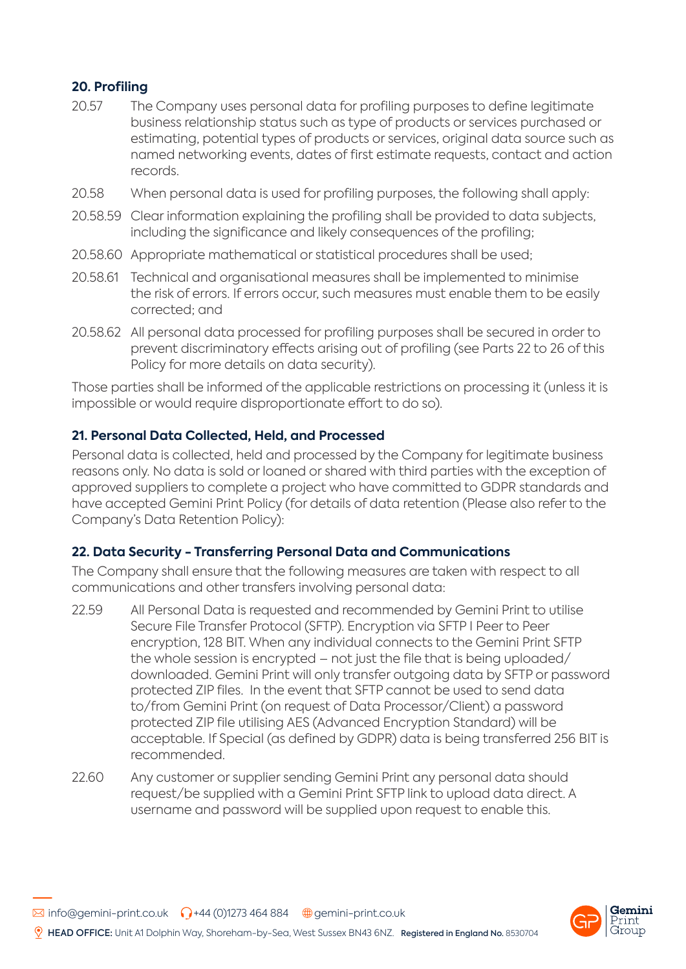# **20. Profiling**

- 20.57 The Company uses personal data for profiling purposes to define legitimate business relationship status such as type of products or services purchased or estimating, potential types of products or services, original data source such as named networking events, dates of first estimate requests, contact and action records.
- 20.58 When personal data is used for profiling purposes, the following shall apply:
- 20.58.59 Clear information explaining the profiling shall be provided to data subjects, including the significance and likely consequences of the profiling;
- 20.58.60 Appropriate mathematical or statistical procedures shall be used;
- 20.58.61 Technical and organisational measures shall be implemented to minimise the risk of errors. If errors occur, such measures must enable them to be easily corrected; and
- 20.58.62 All personal data processed for profiling purposes shall be secured in order to prevent discriminatory effects arising out of profiling (see Parts 22 to 26 of this Policy for more details on data security).

Those parties shall be informed of the applicable restrictions on processing it (unless it is impossible or would require disproportionate effort to do so).

## **21. Personal Data Collected, Held, and Processed**

Personal data is collected, held and processed by the Company for legitimate business reasons only. No data is sold or loaned or shared with third parties with the exception of approved suppliers to complete a project who have committed to GDPR standards and have accepted Gemini Print Policy (for details of data retention (Please also refer to the Company's Data Retention Policy):

### **22. Data Security - Transferring Personal Data and Communications**

The Company shall ensure that the following measures are taken with respect to all communications and other transfers involving personal data:

- 22.59 All Personal Data is requested and recommended by Gemini Print to utilise Secure File Transfer Protocol (SFTP). Encryption via SFTP I Peer to Peer encryption, 128 BIT. When any individual connects to the Gemini Print SFTP the whole session is encrypted – not just the file that is being uploaded/ downloaded. Gemini Print will only transfer outgoing data by SFTP or password protected ZIP files. In the event that SFTP cannot be used to send data to/from Gemini Print (on request of Data Processor/Client) a password protected ZIP file utilising AES (Advanced Encryption Standard) will be acceptable. If Special (as defined by GDPR) data is being transferred 256 BIT is recommended.
- 22.60 Any customer or supplier sending Gemini Print any personal data should request/be supplied with a Gemini Print SFTP link to upload data direct. A username and password will be supplied upon request to enable this.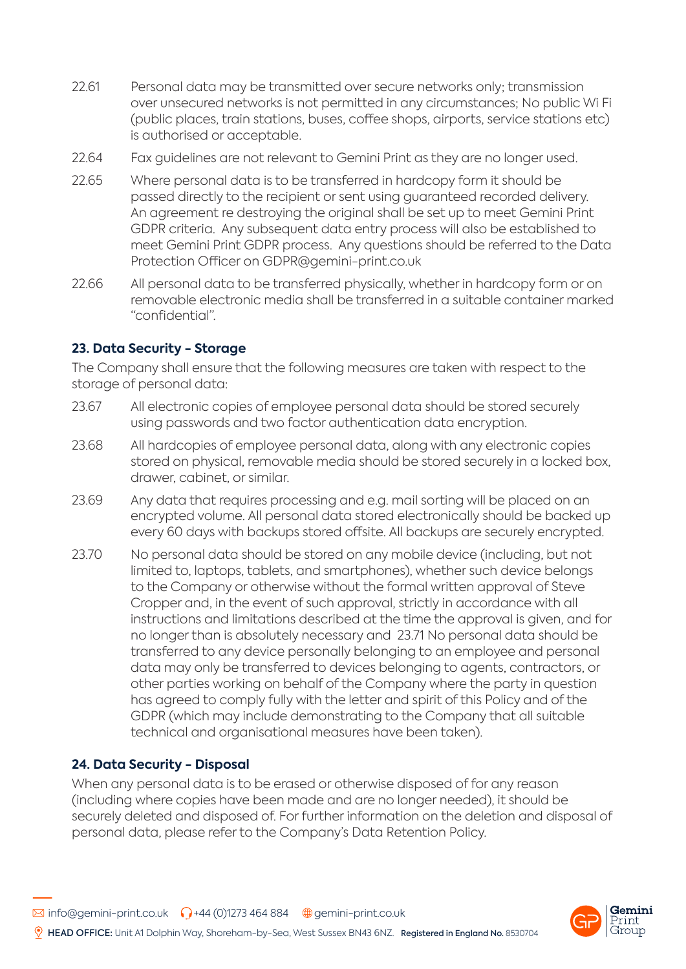- 22.61 Personal data may be transmitted over secure networks only; transmission over unsecured networks is not permitted in any circumstances; No public Wi Fi (public places, train stations, buses, coffee shops, airports, service stations etc) is authorised or acceptable.
- 22.64 Fax guidelines are not relevant to Gemini Print as they are no longer used.
- 22.65 Where personal data is to be transferred in hardcopy form it should be passed directly to the recipient or sent using guaranteed recorded delivery. An agreement re destroying the original shall be set up to meet Gemini Print GDPR criteria. Any subsequent data entry process will also be established to meet Gemini Print GDPR process. Any questions should be referred to the Data Protection Officer on GDPR@gemini-print.co.uk
- 22.66 All personal data to be transferred physically, whether in hardcopy form or on removable electronic media shall be transferred in a suitable container marked "confidential".

### **23. Data Security - Storage**

The Company shall ensure that the following measures are taken with respect to the storage of personal data:

- 23.67 All electronic copies of employee personal data should be stored securely using passwords and two factor authentication data encryption.
- 23.68 All hardcopies of employee personal data, along with any electronic copies stored on physical, removable media should be stored securely in a locked box, drawer, cabinet, or similar.
- 23.69 Any data that requires processing and e.g. mail sorting will be placed on an encrypted volume. All personal data stored electronically should be backed up every 60 days with backups stored offsite. All backups are securely encrypted.
- 23.70 No personal data should be stored on any mobile device (including, but not limited to, laptops, tablets, and smartphones), whether such device belongs to the Company or otherwise without the formal written approval of Steve Cropper and, in the event of such approval, strictly in accordance with all instructions and limitations described at the time the approval is given, and for no longer than is absolutely necessary and 23.71 No personal data should be transferred to any device personally belonging to an employee and personal data may only be transferred to devices belonging to agents, contractors, or other parties working on behalf of the Company where the party in question has agreed to comply fully with the letter and spirit of this Policy and of the GDPR (which may include demonstrating to the Company that all suitable technical and organisational measures have been taken).

### **24. Data Security - Disposal**

When any personal data is to be erased or otherwise disposed of for any reason (including where copies have been made and are no longer needed), it should be securely deleted and disposed of. For further information on the deletion and disposal of personal data, please refer to the Company's Data Retention Policy.

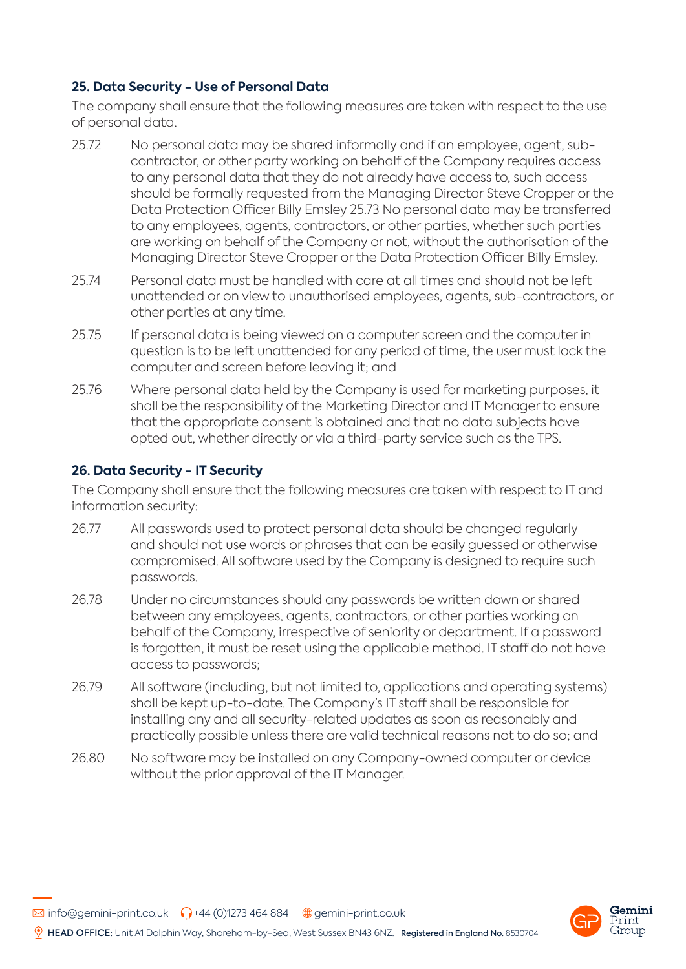# **25. Data Security - Use of Personal Data**

The company shall ensure that the following measures are taken with respect to the use of personal data.

- 25.72 No personal data may be shared informally and if an employee, agent, subcontractor, or other party working on behalf of the Company requires access to any personal data that they do not already have access to, such access should be formally requested from the Managing Director Steve Cropper or the Data Protection Officer Billy Emsley 25.73 No personal data may be transferred to any employees, agents, contractors, or other parties, whether such parties are working on behalf of the Company or not, without the authorisation of the Managing Director Steve Cropper or the Data Protection Officer Billy Emsley.
- 25.74 Personal data must be handled with care at all times and should not be left unattended or on view to unauthorised employees, agents, sub-contractors, or other parties at any time.
- 25.75 If personal data is being viewed on a computer screen and the computer in question is to be left unattended for any period of time, the user must lock the computer and screen before leaving it; and
- 25.76 Where personal data held by the Company is used for marketing purposes, it shall be the responsibility of the Marketing Director and IT Manager to ensure that the appropriate consent is obtained and that no data subjects have opted out, whether directly or via a third-party service such as the TPS.

# **26. Data Security - IT Security**

The Company shall ensure that the following measures are taken with respect to IT and information security:

- 26.77 All passwords used to protect personal data should be changed regularly and should not use words or phrases that can be easily guessed or otherwise compromised. All software used by the Company is designed to require such passwords.
- 26.78 Under no circumstances should any passwords be written down or shared between any employees, agents, contractors, or other parties working on behalf of the Company, irrespective of seniority or department. If a password is forgotten, it must be reset using the applicable method. IT staff do not have access to passwords;
- 26.79 All software (including, but not limited to, applications and operating systems) shall be kept up-to-date. The Company's IT staff shall be responsible for installing any and all security-related updates as soon as reasonably and practically possible unless there are valid technical reasons not to do so; and
- 26.80 No software may be installed on any Company-owned computer or device without the prior approval of the IT Manager.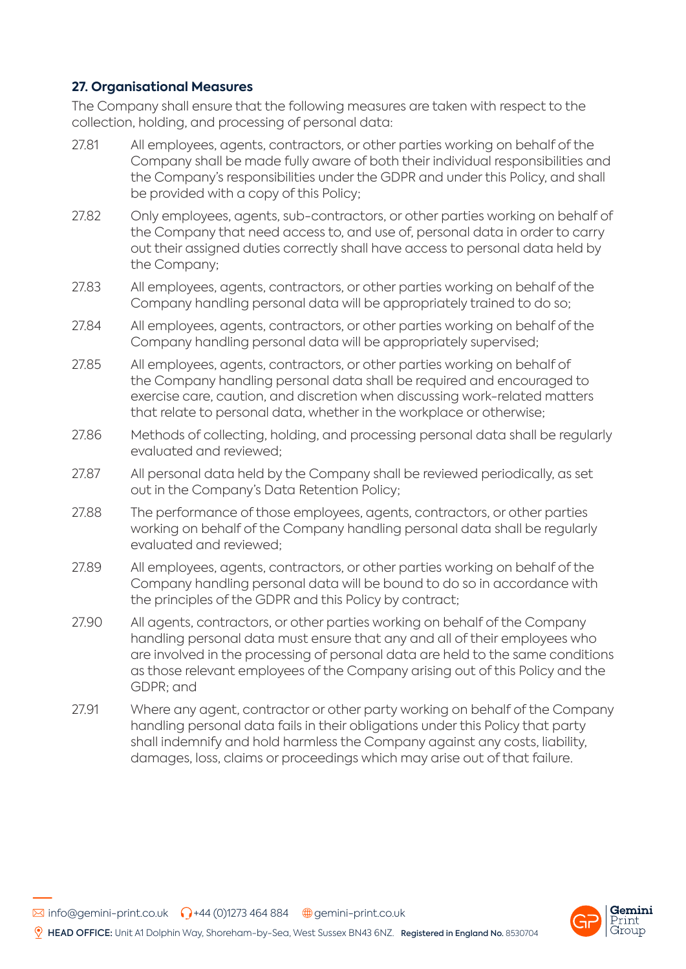## **27. Organisational Measures**

The Company shall ensure that the following measures are taken with respect to the collection, holding, and processing of personal data:

- 27.81 All employees, agents, contractors, or other parties working on behalf of the Company shall be made fully aware of both their individual responsibilities and the Company's responsibilities under the GDPR and under this Policy, and shall be provided with a copy of this Policy;
- 27.82 Only employees, agents, sub-contractors, or other parties working on behalf of the Company that need access to, and use of, personal data in order to carry out their assigned duties correctly shall have access to personal data held by the Company;
- 27.83 All employees, agents, contractors, or other parties working on behalf of the Company handling personal data will be appropriately trained to do so;
- 27.84 All employees, agents, contractors, or other parties working on behalf of the Company handling personal data will be appropriately supervised;
- 27.85 All employees, agents, contractors, or other parties working on behalf of the Company handling personal data shall be required and encouraged to exercise care, caution, and discretion when discussing work-related matters that relate to personal data, whether in the workplace or otherwise;
- 27.86 Methods of collecting, holding, and processing personal data shall be regularly evaluated and reviewed;
- 27.87 All personal data held by the Company shall be reviewed periodically, as set out in the Company's Data Retention Policy;
- 27.88 The performance of those employees, agents, contractors, or other parties working on behalf of the Company handling personal data shall be regularly evaluated and reviewed;
- 27.89 All employees, agents, contractors, or other parties working on behalf of the Company handling personal data will be bound to do so in accordance with the principles of the GDPR and this Policy by contract;
- 27.90 All agents, contractors, or other parties working on behalf of the Company handling personal data must ensure that any and all of their employees who are involved in the processing of personal data are held to the same conditions as those relevant employees of the Company arising out of this Policy and the GDPR; and
- 27.91 Where any agent, contractor or other party working on behalf of the Company handling personal data fails in their obligations under this Policy that party shall indemnify and hold harmless the Company against any costs, liability, damages, loss, claims or proceedings which may arise out of that failure.

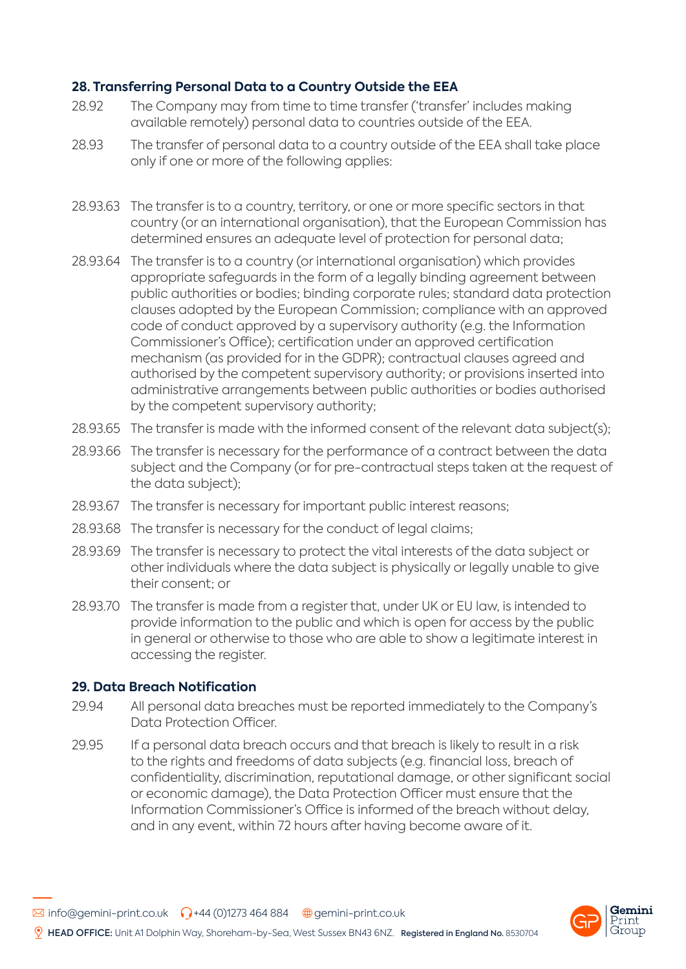## **28. Transferring Personal Data to a Country Outside the EEA**

- 28.92 The Company may from time to time transfer ('transfer' includes making available remotely) personal data to countries outside of the EEA.
- 28.93 The transfer of personal data to a country outside of the EEA shall take place only if one or more of the following applies:
- 28.93.63 The transfer is to a country, territory, or one or more specific sectors in that country (or an international organisation), that the European Commission has determined ensures an adequate level of protection for personal data;
- 28.93.64 The transfer is to a country (or international organisation) which provides appropriate safeguards in the form of a legally binding agreement between public authorities or bodies; binding corporate rules; standard data protection clauses adopted by the European Commission; compliance with an approved code of conduct approved by a supervisory authority (e.g. the Information Commissioner's Office); certification under an approved certification mechanism (as provided for in the GDPR); contractual clauses agreed and authorised by the competent supervisory authority; or provisions inserted into administrative arrangements between public authorities or bodies authorised by the competent supervisory authority;
- 28.93.65 The transfer is made with the informed consent of the relevant data subject(s);
- 28.93.66 The transfer is necessary for the performance of a contract between the data subject and the Company (or for pre-contractual steps taken at the request of the data subject);
- 28.93.67 The transfer is necessary for important public interest reasons;
- 28.93.68 The transfer is necessary for the conduct of legal claims:
- 28.93.69 The transfer is necessary to protect the vital interests of the data subject or other individuals where the data subject is physically or legally unable to give their consent; or
- 28.93.70 The transfer is made from a register that, under UK or EU law, is intended to provide information to the public and which is open for access by the public in general or otherwise to those who are able to show a legitimate interest in accessing the register.

### **29. Data Breach Notification**

- 29.94 All personal data breaches must be reported immediately to the Company's Data Protection Officer.
- 29.95 If a personal data breach occurs and that breach is likely to result in a risk to the rights and freedoms of data subjects (e.g. financial loss, breach of confidentiality, discrimination, reputational damage, or other significant social or economic damage), the Data Protection Officer must ensure that the Information Commissioner's Office is informed of the breach without delay, and in any event, within 72 hours after having become aware of it.